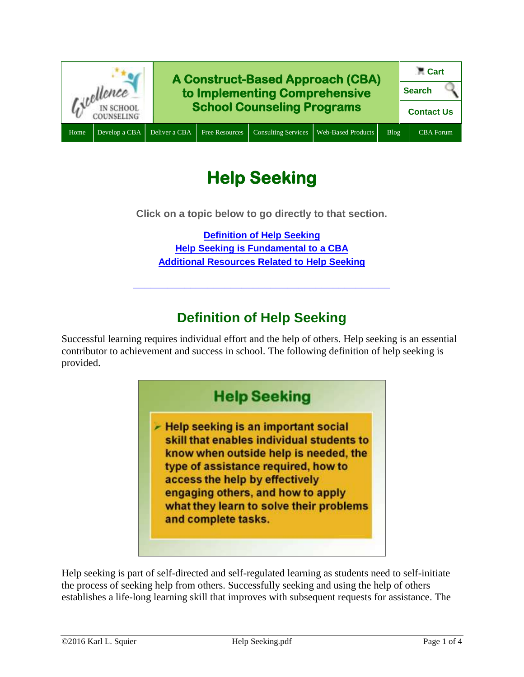

# **Help Seeking**

**Click on a topic below to go directly to that section.**

**[Definition of Help Seeking](#page-0-0) [Help Seeking is Fundamental to a CBA](#page-1-0) [Additional Resources Related to Help Seeking](#page-1-1)**

**\_\_\_\_\_\_\_\_\_\_\_\_\_\_\_\_\_\_\_\_\_\_\_\_\_\_\_\_\_\_\_\_\_\_\_\_\_\_\_\_\_\_\_\_\_**

#### **Definition of Help Seeking**

<span id="page-0-0"></span>Successful learning requires individual effort and the help of others. Help seeking is an essential contributor to achievement and success in school. The following definition of help seeking is provided.



Help seeking is part of self-directed and self-regulated learning as students need to self-initiate the process of seeking help from others. Successfully seeking and using the help of others establishes a life-long learning skill that improves with subsequent requests for assistance. The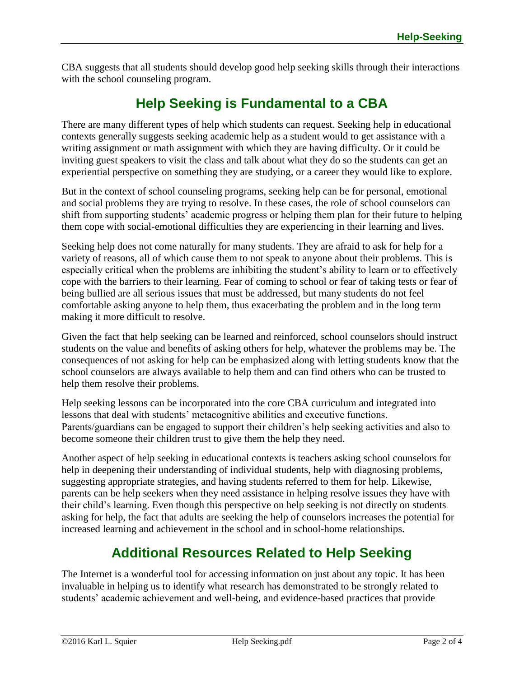CBA suggests that all students should develop good help seeking skills through their interactions with the school counseling program.

## **Help Seeking is Fundamental to a CBA**

<span id="page-1-0"></span>There are many different types of help which students can request. Seeking help in educational contexts generally suggests seeking academic help as a student would to get assistance with a writing assignment or math assignment with which they are having difficulty. Or it could be inviting guest speakers to visit the class and talk about what they do so the students can get an experiential perspective on something they are studying, or a career they would like to explore.

But in the context of school counseling programs, seeking help can be for personal, emotional and social problems they are trying to resolve. In these cases, the role of school counselors can shift from supporting students' academic progress or helping them plan for their future to helping them cope with social-emotional difficulties they are experiencing in their learning and lives.

Seeking help does not come naturally for many students. They are afraid to ask for help for a variety of reasons, all of which cause them to not speak to anyone about their problems. This is especially critical when the problems are inhibiting the student's ability to learn or to effectively cope with the barriers to their learning. Fear of coming to school or fear of taking tests or fear of being bullied are all serious issues that must be addressed, but many students do not feel comfortable asking anyone to help them, thus exacerbating the problem and in the long term making it more difficult to resolve.

Given the fact that help seeking can be learned and reinforced, school counselors should instruct students on the value and benefits of asking others for help, whatever the problems may be. The consequences of not asking for help can be emphasized along with letting students know that the school counselors are always available to help them and can find others who can be trusted to help them resolve their problems.

Help seeking lessons can be incorporated into the core CBA curriculum and integrated into lessons that deal with students' metacognitive abilities and executive functions. Parents/guardians can be engaged to support their children's help seeking activities and also to become someone their children trust to give them the help they need.

Another aspect of help seeking in educational contexts is teachers asking school counselors for help in deepening their understanding of individual students, help with diagnosing problems, suggesting appropriate strategies, and having students referred to them for help. Likewise, parents can be help seekers when they need assistance in helping resolve issues they have with their child's learning. Even though this perspective on help seeking is not directly on students asking for help, the fact that adults are seeking the help of counselors increases the potential for increased learning and achievement in the school and in school-home relationships.

## **Additional Resources Related to Help Seeking**

<span id="page-1-1"></span>The Internet is a wonderful tool for accessing information on just about any topic. It has been invaluable in helping us to identify what research has demonstrated to be strongly related to students' academic achievement and well-being, and evidence-based practices that provide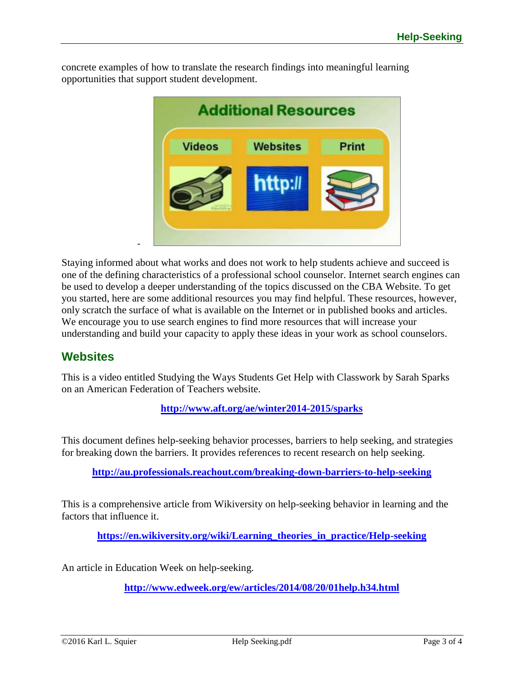**Additional Resources Videos Websites** Print http:// -

concrete examples of how to translate the research findings into meaningful learning opportunities that support student development.

Staying informed about what works and does not work to help students achieve and succeed is one of the defining characteristics of a professional school counselor. Internet search engines can be used to develop a deeper understanding of the topics discussed on the CBA Website. To get you started, here are some additional resources you may find helpful. These resources, however, only scratch the surface of what is available on the Internet or in published books and articles. We encourage you to use search engines to find more resources that will increase your understanding and build your capacity to apply these ideas in your work as school counselors.

#### **Websites**

This is a video entitled Studying the Ways Students Get Help with Classwork by Sarah Sparks on an American Federation of Teachers website.

**<http://www.aft.org/ae/winter2014-2015/sparks>**

This document defines help-seeking behavior processes, barriers to help seeking, and strategies for breaking down the barriers. It provides references to recent research on help seeking.

**<http://au.professionals.reachout.com/breaking-down-barriers-to-help-seeking>**

This is a comprehensive article from Wikiversity on help-seeking behavior in learning and the factors that influence it.

**[https://en.wikiversity.org/wiki/Learning\\_theories\\_in\\_practice/Help-seeking](https://en.wikiversity.org/wiki/Learning_theories_in_practice/Help-seeking)**

An article in Education Week on help-seeking.

**<http://www.edweek.org/ew/articles/2014/08/20/01help.h34.html>**